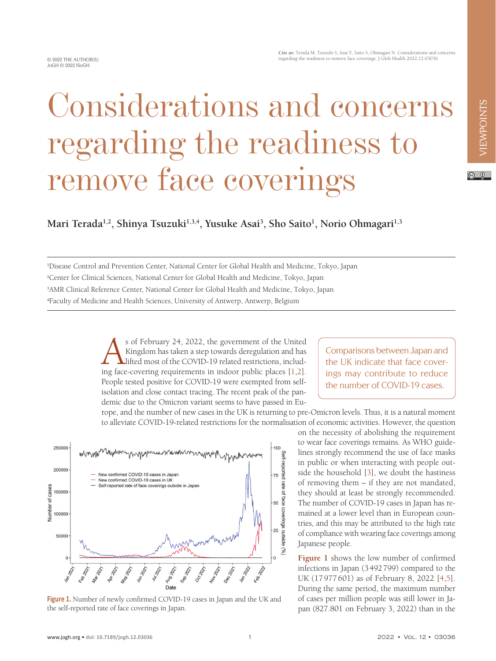$\circledcirc$   $\circledcirc$ 

## Considerations and concerns regarding the readiness to remove face coverings

**Mari Terada1,2, Shinya Tsuzuki1,3,4, Yusuke Asai3 , Sho Saito1 , Norio Ohmagari1,3**

 Disease Control and Prevention Center, National Center for Global Health and Medicine, Tokyo, Japan Center for Clinical Sciences, National Center for Global Health and Medicine, Tokyo, Japan AMR Clinical Reference Center, National Center for Global Health and Medicine, Tokyo, Japan Faculty of Medicine and Health Sciences, University of Antwerp, Antwerp, Belgium

> s of February 24, 2022, the government of the United<br>Kingdom has taken a step towards deregulation and has<br>lifted most of the COVID-19 related restrictions, includ-<br>ing face-covering requirements in indoor public places [1 Kingdom has taken a step towards deregulation and has lifted most of the COVID-19 related restrictions, including face-covering requirements in indoor public places [\[1,](#page-2-0)[2](#page-2-1)]. People tested positive for COVID-19 were exempted from selfisolation and close contact tracing. The recent peak of the pandemic due to the Omicron variant seems to have passed in Eu-

Comparisons between Japan and the UK indicate that face coverings may contribute to reduce the number of COVID-19 cases.

rope, and the number of new cases in the UK is returning to pre-Omicron levels. Thus, it is a natural moment to alleviate COVID-19-related restrictions for the normalisation of economic activities. However, the question

<span id="page-0-0"></span>

**Figure 1.** Number of newly confirmed COVID-19 cases in Japan and the UK and the self-reported rate of face coverings in Japan.

on the necessity of abolishing the requirement to wear face coverings remains. As WHO guidelines strongly recommend the use of face masks in public or when interacting with people outside the household [[3\]](#page-2-2), we doubt the hastiness of removing them – if they are not mandated, they should at least be strongly recommended. The number of COVID-19 cases in Japan has remained at a lower level than in European coun-

tries, and this may be attributed to the high rate of compliance with wearing face coverings among Japanese people.

**[Figure 1](#page-0-0)** shows the low number of confirmed infections in Japan (3492799) compared to the UK (17977601) as of February 8, 2022 [\[4](#page-2-3),[5](#page-2-4)]. During the same period, the maximum number of cases per million people was still lower in Japan (827.801 on February 3, 2022) than in the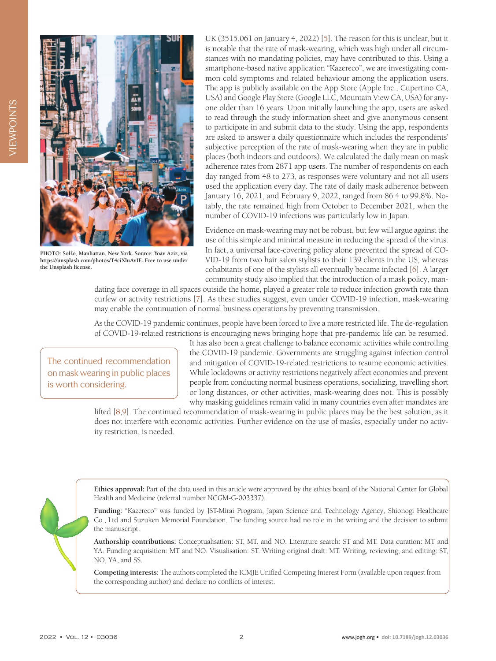

**PHOTO: SoHo, Manhattan, New York. Source: Yoav Aziz, via https://unsplash.com/photos/T4ciXluAvIE. Free to use under the Unsplash license.**

UK (3515.061 on January 4, 2022) [[5\]](#page-2-4). The reason for this is unclear, but it is notable that the rate of mask-wearing, which was high under all circumstances with no mandating policies, may have contributed to this. Using a smartphone-based native application "Kazereco", we are investigating common cold symptoms and related behaviour among the application users. The app is publicly available on the App Store (Apple Inc., Cupertino CA, USA) and Google Play Store (Google LLC, Mountain View CA, USA) for anyone older than 16 years. Upon initially launching the app, users are asked to read through the study information sheet and give anonymous consent to participate in and submit data to the study. Using the app, respondents are asked to answer a daily questionnaire which includes the respondents' subjective perception of the rate of mask-wearing when they are in public places (both indoors and outdoors). We calculated the daily mean on mask adherence rates from 2871 app users. The number of respondents on each day ranged from 48 to 273, as responses were voluntary and not all users used the application every day. The rate of daily mask adherence between January 16, 2021, and February 9, 2022, ranged from 86.4 to 99.8%. Notably, the rate remained high from October to December 2021, when the number of COVID-19 infections was particularly low in Japan.

Evidence on mask-wearing may not be robust, but few will argue against the use of this simple and minimal measure in reducing the spread of the virus. In fact, a universal face-covering policy alone prevented the spread of CO-VID-19 from two hair salon stylists to their 139 clients in the US, whereas cohabitants of one of the stylists all eventually became infected [\[6](#page-2-5)]. A larger community study also implied that the introduction of a mask policy, man-

dating face coverage in all spaces outside the home, played a greater role to reduce infection growth rate than curfew or activity restrictions [\[7\]](#page-2-6). As these studies suggest, even under COVID-19 infection, mask-wearing may enable the continuation of normal business operations by preventing transmission.

As the COVID-19 pandemic continues, people have been forced to live a more restricted life. The de-regulation of COVID-19-related restrictions is encouraging news bringing hope that pre-pandemic life can be resumed.

The continued recommendation on mask wearing in public places is worth considering.

It has also been a great challenge to balance economic activities while controlling the COVID-19 pandemic. Governments are struggling against infection control and mitigation of COVID-19-related restrictions to resume economic activities. While lockdowns or activity restrictions negatively affect economies and prevent people from conducting normal business operations, socializing, travelling short or long distances, or other activities, mask-wearing does not. This is possibly why masking guidelines remain valid in many countries even after mandates are

lifted [\[8](#page-2-7),[9\]](#page-2-8). The continued recommendation of mask-wearing in public places may be the best solution, as it does not interfere with economic activities. Further evidence on the use of masks, especially under no activity restriction, is needed.

**Ethics approval:** Part of the data used in this article were approved by the ethics board of the National Center for Global Health and Medicine (referral number NCGM-G-003337).

**Funding:** "Kazereco" was funded by JST-Mirai Program, Japan Science and Technology Agency, Shionogi Healthcare Co., Ltd and Suzuken Memorial Foundation. The funding source had no role in the writing and the decision to submit the manuscript.

**Authorship contributions:** Conceptualisation: ST, MT, and NO. Literature search: ST and MT. Data curation: MT and YA. Funding acquisition: MT and NO. Visualisation: ST. Writing original draft: MT. Writing, reviewing, and editing: ST, NO, YA, and SS.

**Competing interests:** The authors completed the ICMJE Unified Competing Interest Form (available upon request from the corresponding author) and declare no conflicts of interest.